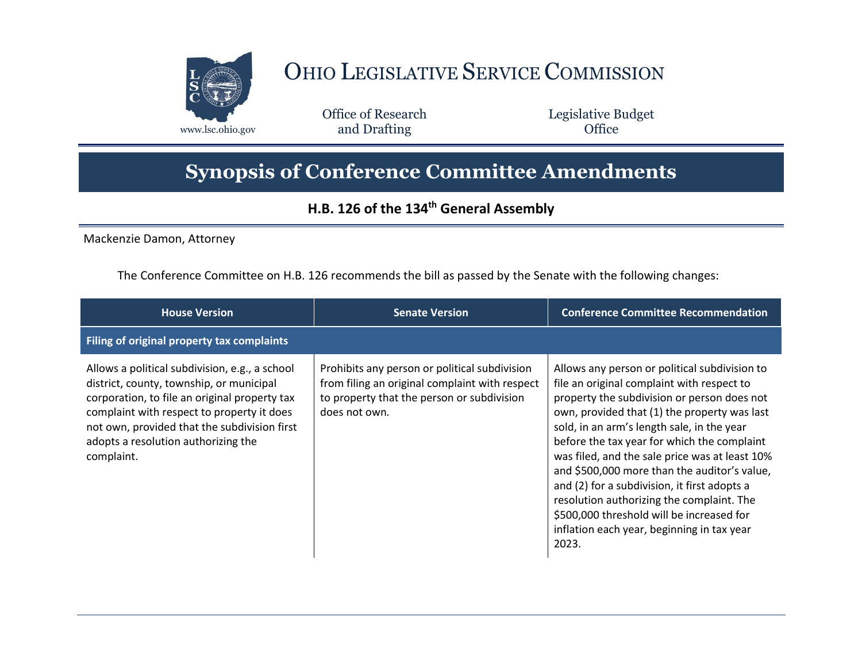

## OHIO LEGISLATIVE SERVICE COMMISSION

Office of Research www.lsc.ohio.gov **and Drafting Office** 

Legislative Budget

## **Synopsis of Conference Committee Amendments**

## **H.B. 126 of the 134th General Assembly**

Mackenzie Damon, Attorney

The Conference Committee on H.B. 126 recommends the bill as passed by the Senate with the following changes:

| <b>House Version</b>                                                                                                                                                                                                                                                                           | <b>Senate Version</b>                                                                                                                                          | <b>Conference Committee Recommendation</b>                                                                                                                                                                                                                                                                                                                                                                                                                                                                                                                                                 |
|------------------------------------------------------------------------------------------------------------------------------------------------------------------------------------------------------------------------------------------------------------------------------------------------|----------------------------------------------------------------------------------------------------------------------------------------------------------------|--------------------------------------------------------------------------------------------------------------------------------------------------------------------------------------------------------------------------------------------------------------------------------------------------------------------------------------------------------------------------------------------------------------------------------------------------------------------------------------------------------------------------------------------------------------------------------------------|
| Filing of original property tax complaints                                                                                                                                                                                                                                                     |                                                                                                                                                                |                                                                                                                                                                                                                                                                                                                                                                                                                                                                                                                                                                                            |
| Allows a political subdivision, e.g., a school<br>district, county, township, or municipal<br>corporation, to file an original property tax<br>complaint with respect to property it does<br>not own, provided that the subdivision first<br>adopts a resolution authorizing the<br>complaint. | Prohibits any person or political subdivision<br>from filing an original complaint with respect<br>to property that the person or subdivision<br>does not own. | Allows any person or political subdivision to<br>file an original complaint with respect to<br>property the subdivision or person does not<br>own, provided that (1) the property was last<br>sold, in an arm's length sale, in the year<br>before the tax year for which the complaint<br>was filed, and the sale price was at least 10%<br>and \$500,000 more than the auditor's value,<br>and (2) for a subdivision, it first adopts a<br>resolution authorizing the complaint. The<br>\$500,000 threshold will be increased for<br>inflation each year, beginning in tax year<br>2023. |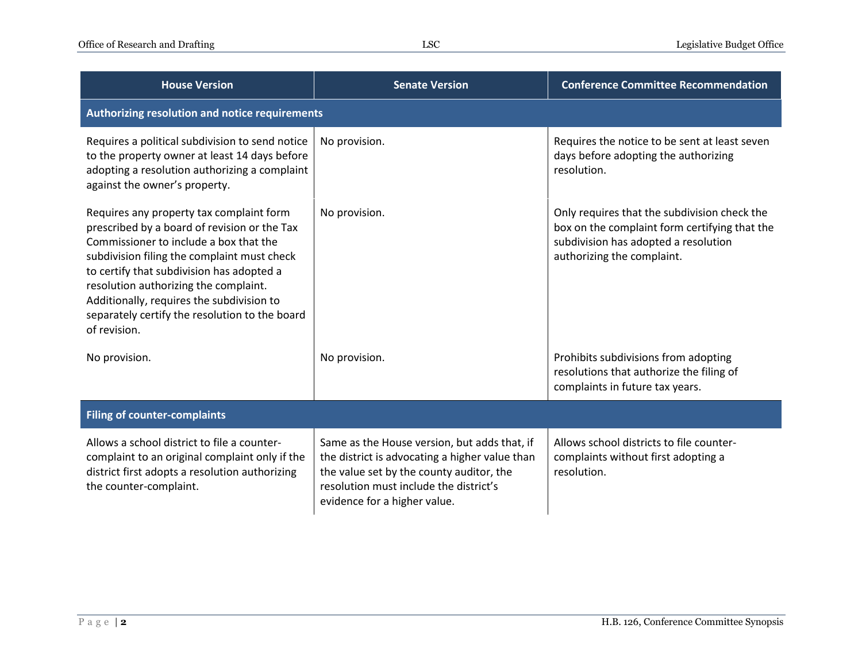| <b>House Version</b>                                                                                                                                                                                                                                                                                                                                                                   | <b>Senate Version</b>                                                                                                                                                                                                | <b>Conference Committee Recommendation</b>                                                                                                                          |  |  |
|----------------------------------------------------------------------------------------------------------------------------------------------------------------------------------------------------------------------------------------------------------------------------------------------------------------------------------------------------------------------------------------|----------------------------------------------------------------------------------------------------------------------------------------------------------------------------------------------------------------------|---------------------------------------------------------------------------------------------------------------------------------------------------------------------|--|--|
| Authorizing resolution and notice requirements                                                                                                                                                                                                                                                                                                                                         |                                                                                                                                                                                                                      |                                                                                                                                                                     |  |  |
| Requires a political subdivision to send notice<br>to the property owner at least 14 days before<br>adopting a resolution authorizing a complaint<br>against the owner's property.                                                                                                                                                                                                     | No provision.                                                                                                                                                                                                        | Requires the notice to be sent at least seven<br>days before adopting the authorizing<br>resolution.                                                                |  |  |
| Requires any property tax complaint form<br>prescribed by a board of revision or the Tax<br>Commissioner to include a box that the<br>subdivision filing the complaint must check<br>to certify that subdivision has adopted a<br>resolution authorizing the complaint.<br>Additionally, requires the subdivision to<br>separately certify the resolution to the board<br>of revision. | No provision.                                                                                                                                                                                                        | Only requires that the subdivision check the<br>box on the complaint form certifying that the<br>subdivision has adopted a resolution<br>authorizing the complaint. |  |  |
| No provision.                                                                                                                                                                                                                                                                                                                                                                          | No provision.                                                                                                                                                                                                        | Prohibits subdivisions from adopting<br>resolutions that authorize the filing of<br>complaints in future tax years.                                                 |  |  |
| <b>Filing of counter-complaints</b>                                                                                                                                                                                                                                                                                                                                                    |                                                                                                                                                                                                                      |                                                                                                                                                                     |  |  |
| Allows a school district to file a counter-<br>complaint to an original complaint only if the<br>district first adopts a resolution authorizing<br>the counter-complaint.                                                                                                                                                                                                              | Same as the House version, but adds that, if<br>the district is advocating a higher value than<br>the value set by the county auditor, the<br>resolution must include the district's<br>evidence for a higher value. | Allows school districts to file counter-<br>complaints without first adopting a<br>resolution.                                                                      |  |  |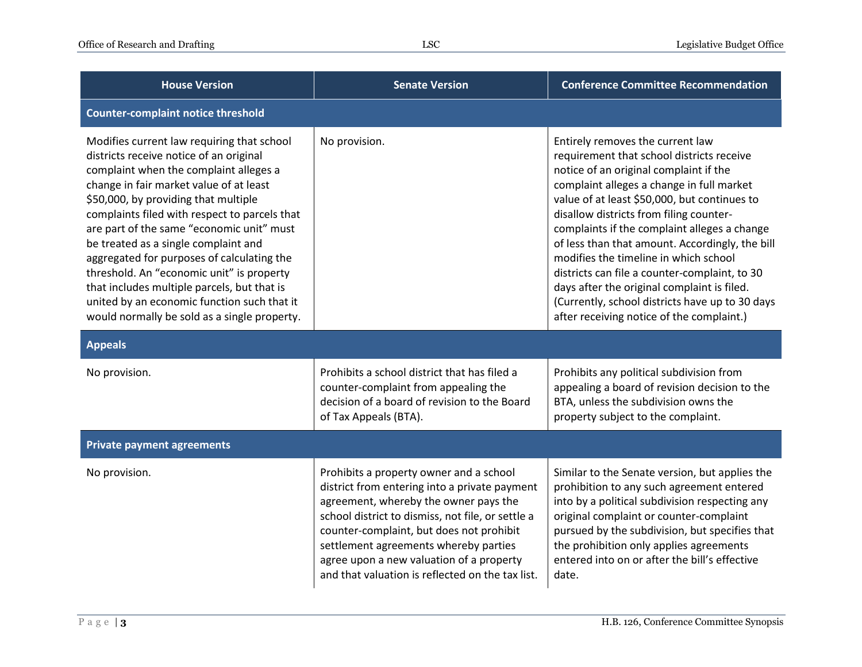| <b>House Version</b>                                                                                                                                                                                                                                                                                                                                                                                                                                                                                                                                                                              | <b>Senate Version</b>                                                                                                                                                                                                                                                                                                                                                       | <b>Conference Committee Recommendation</b>                                                                                                                                                                                                                                                                                                                                                                                                                                                                                                                                                                  |
|---------------------------------------------------------------------------------------------------------------------------------------------------------------------------------------------------------------------------------------------------------------------------------------------------------------------------------------------------------------------------------------------------------------------------------------------------------------------------------------------------------------------------------------------------------------------------------------------------|-----------------------------------------------------------------------------------------------------------------------------------------------------------------------------------------------------------------------------------------------------------------------------------------------------------------------------------------------------------------------------|-------------------------------------------------------------------------------------------------------------------------------------------------------------------------------------------------------------------------------------------------------------------------------------------------------------------------------------------------------------------------------------------------------------------------------------------------------------------------------------------------------------------------------------------------------------------------------------------------------------|
| <b>Counter-complaint notice threshold</b>                                                                                                                                                                                                                                                                                                                                                                                                                                                                                                                                                         |                                                                                                                                                                                                                                                                                                                                                                             |                                                                                                                                                                                                                                                                                                                                                                                                                                                                                                                                                                                                             |
| Modifies current law requiring that school<br>districts receive notice of an original<br>complaint when the complaint alleges a<br>change in fair market value of at least<br>\$50,000, by providing that multiple<br>complaints filed with respect to parcels that<br>are part of the same "economic unit" must<br>be treated as a single complaint and<br>aggregated for purposes of calculating the<br>threshold. An "economic unit" is property<br>that includes multiple parcels, but that is<br>united by an economic function such that it<br>would normally be sold as a single property. | No provision.                                                                                                                                                                                                                                                                                                                                                               | Entirely removes the current law<br>requirement that school districts receive<br>notice of an original complaint if the<br>complaint alleges a change in full market<br>value of at least \$50,000, but continues to<br>disallow districts from filing counter-<br>complaints if the complaint alleges a change<br>of less than that amount. Accordingly, the bill<br>modifies the timeline in which school<br>districts can file a counter-complaint, to 30<br>days after the original complaint is filed.<br>(Currently, school districts have up to 30 days<br>after receiving notice of the complaint.) |
| <b>Appeals</b>                                                                                                                                                                                                                                                                                                                                                                                                                                                                                                                                                                                    |                                                                                                                                                                                                                                                                                                                                                                             |                                                                                                                                                                                                                                                                                                                                                                                                                                                                                                                                                                                                             |
| No provision.                                                                                                                                                                                                                                                                                                                                                                                                                                                                                                                                                                                     | Prohibits a school district that has filed a<br>counter-complaint from appealing the<br>decision of a board of revision to the Board<br>of Tax Appeals (BTA).                                                                                                                                                                                                               | Prohibits any political subdivision from<br>appealing a board of revision decision to the<br>BTA, unless the subdivision owns the<br>property subject to the complaint.                                                                                                                                                                                                                                                                                                                                                                                                                                     |
| <b>Private payment agreements</b>                                                                                                                                                                                                                                                                                                                                                                                                                                                                                                                                                                 |                                                                                                                                                                                                                                                                                                                                                                             |                                                                                                                                                                                                                                                                                                                                                                                                                                                                                                                                                                                                             |
| No provision.                                                                                                                                                                                                                                                                                                                                                                                                                                                                                                                                                                                     | Prohibits a property owner and a school<br>district from entering into a private payment<br>agreement, whereby the owner pays the<br>school district to dismiss, not file, or settle a<br>counter-complaint, but does not prohibit<br>settlement agreements whereby parties<br>agree upon a new valuation of a property<br>and that valuation is reflected on the tax list. | Similar to the Senate version, but applies the<br>prohibition to any such agreement entered<br>into by a political subdivision respecting any<br>original complaint or counter-complaint<br>pursued by the subdivision, but specifies that<br>the prohibition only applies agreements<br>entered into on or after the bill's effective<br>date.                                                                                                                                                                                                                                                             |